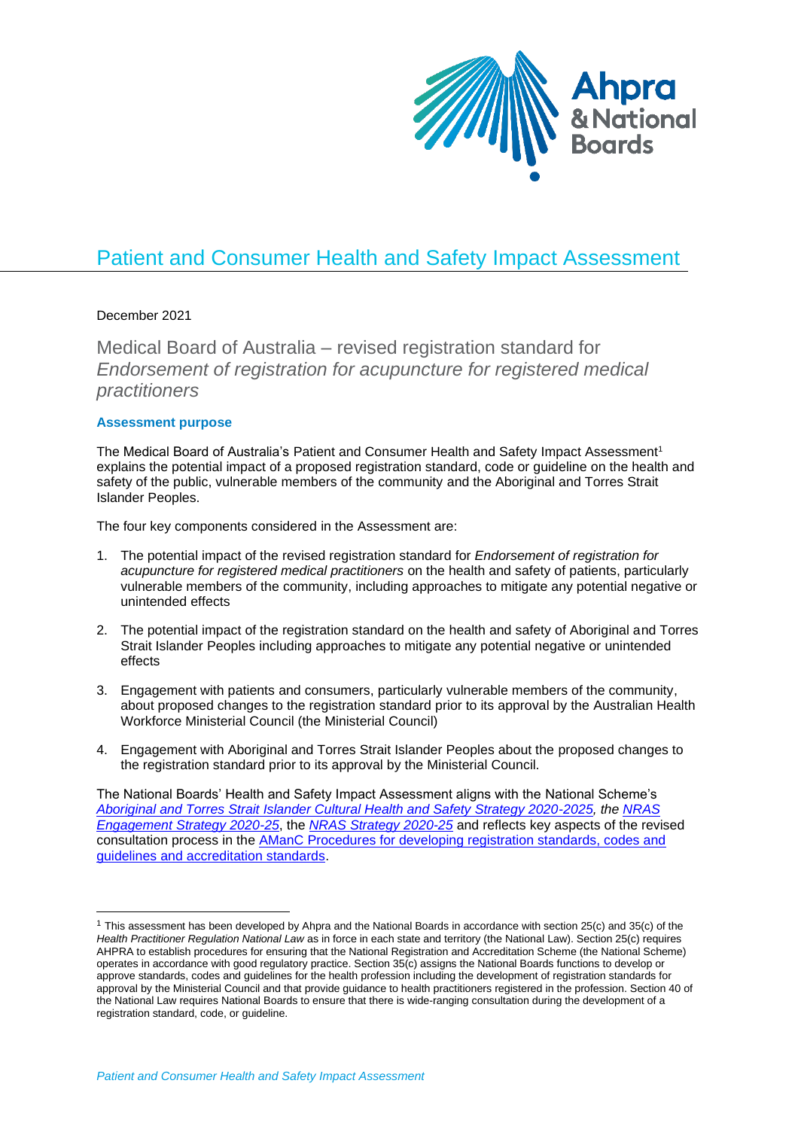

# Patient and Consumer Health and Safety Impact Assessment

## December 2021

Medical Board of Australia – revised registration standard for *Endorsement of registration for acupuncture for registered medical practitioners*

## **Assessment purpose**

The Medical Board of Australia's Patient and Consumer Health and Safety Impact Assessment<sup>1</sup> explains the potential impact of a proposed registration standard, code or guideline on the health and safety of the public, vulnerable members of the community and the Aboriginal and Torres Strait Islander Peoples.

The four key components considered in the Assessment are:

- 1. The potential impact of the revised registration standard for *Endorsement of registration for acupuncture for registered medical practitioners* on the health and safety of patients, particularly vulnerable members of the community, including approaches to mitigate any potential negative or unintended effects
- 2. The potential impact of the registration standard on the health and safety of Aboriginal and Torres Strait Islander Peoples including approaches to mitigate any potential negative or unintended effects
- 3. Engagement with patients and consumers, particularly vulnerable members of the community, about proposed changes to the registration standard prior to its approval by the Australian Health Workforce Ministerial Council (the Ministerial Council)
- 4. Engagement with Aboriginal and Torres Strait Islander Peoples about the proposed changes to the registration standard prior to its approval by the Ministerial Council.

The National Boards' Health and Safety Impact Assessment aligns with the National Scheme's *[Aboriginal and Torres Strait Islander Cultural Health and Safety Strategy 2020-2025,](https://www.ahpra.gov.au/About-AHPRA/Aboriginal-and-Torres-Strait-Islander-Health-Strategy.aspx) the [NRAS](https://www.ahpra.gov.au/About-Ahpra/Our-engagement-activities/Engagement-strategy.aspx)  [Engagement Strategy 2020-25](https://www.ahpra.gov.au/About-Ahpra/Our-engagement-activities/Engagement-strategy.aspx)*, the *[NRAS Strategy 2020-25](https://www.ahpra.gov.au/About-Ahpra/National-Scheme-Strategy.aspx)* and reflects key aspects of the revised consultation process in the [AManC Procedures for developing registration standards, codes and](https://www.ahpra.gov.au/Publications/Procedures.aspx)  [guidelines and accreditation standards.](https://www.ahpra.gov.au/Publications/Procedures.aspx)

<sup>&</sup>lt;sup>1</sup> This assessment has been developed by Ahpra and the National Boards in accordance with section 25(c) and 35(c) of the *Health Practitioner Regulation National Law* as in force in each state and territory (the National Law). Section 25(c) requires AHPRA to establish procedures for ensuring that the National Registration and Accreditation Scheme (the National Scheme) operates in accordance with good regulatory practice. Section 35(c) assigns the National Boards functions to develop or approve standards, codes and guidelines for the health profession including the development of registration standards for approval by the Ministerial Council and that provide guidance to health practitioners registered in the profession. Section 40 of the National Law requires National Boards to ensure that there is wide-ranging consultation during the development of a registration standard, code, or guideline.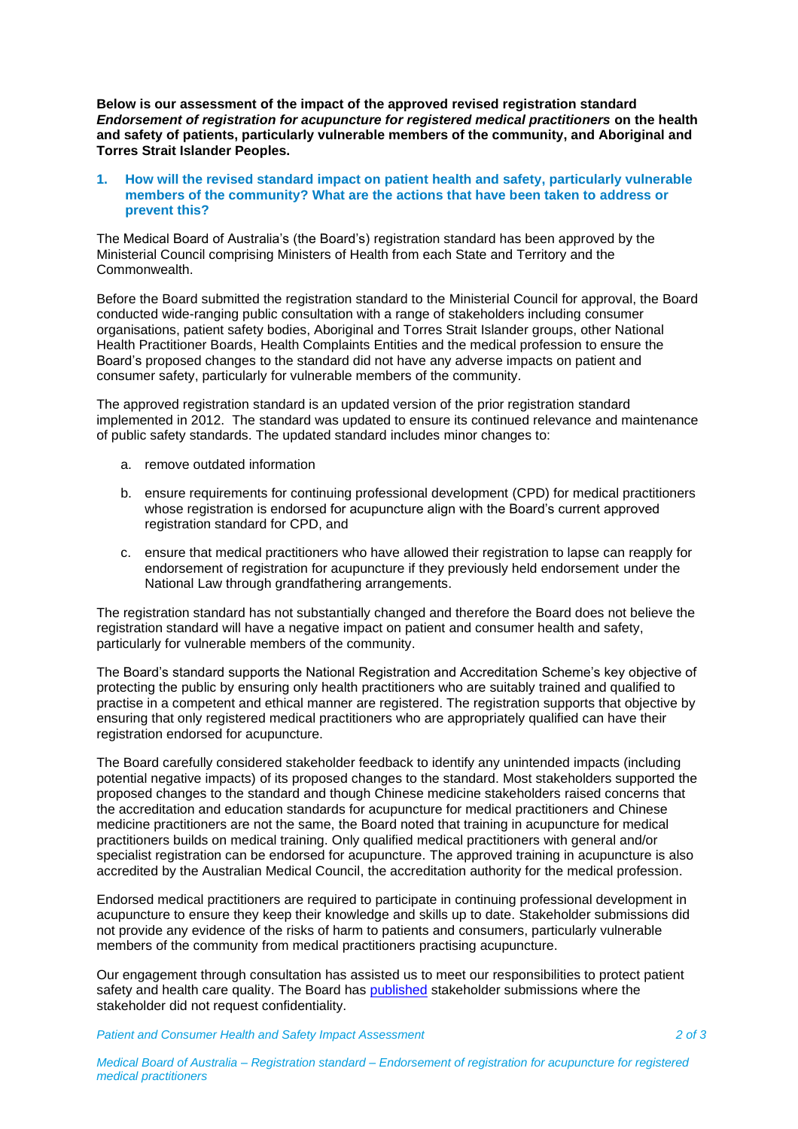**Below is our assessment of the impact of the approved revised registration standard**  *Endorsement of registration for acupuncture for registered medical practitioners* **on the health and safety of patients, particularly vulnerable members of the community, and Aboriginal and Torres Strait Islander Peoples.**

#### **1. How will the revised standard impact on patient health and safety, particularly vulnerable members of the community? What are the actions that have been taken to address or prevent this?**

The Medical Board of Australia's (the Board's) registration standard has been approved by the Ministerial Council comprising Ministers of Health from each State and Territory and the Commonwealth.

Before the Board submitted the registration standard to the Ministerial Council for approval, the Board conducted wide-ranging public consultation with a range of stakeholders including consumer organisations, patient safety bodies, Aboriginal and Torres Strait Islander groups, other National Health Practitioner Boards, Health Complaints Entities and the medical profession to ensure the Board's proposed changes to the standard did not have any adverse impacts on patient and consumer safety, particularly for vulnerable members of the community.

The approved registration standard is an updated version of the prior registration standard implemented in 2012. The standard was updated to ensure its continued relevance and maintenance of public safety standards. The updated standard includes minor changes to:

- a. remove outdated information
- b. ensure requirements for continuing professional development (CPD) for medical practitioners whose registration is endorsed for acupuncture align with the Board's current approved registration standard for CPD, and
- c. ensure that medical practitioners who have allowed their registration to lapse can reapply for endorsement of registration for acupuncture if they previously held endorsement under the National Law through grandfathering arrangements.

The registration standard has not substantially changed and therefore the Board does not believe the registration standard will have a negative impact on patient and consumer health and safety, particularly for vulnerable members of the community.

The Board's standard supports the National Registration and Accreditation Scheme's key objective of protecting the public by ensuring only health practitioners who are suitably trained and qualified to practise in a competent and ethical manner are registered. The registration supports that objective by ensuring that only registered medical practitioners who are appropriately qualified can have their registration endorsed for acupuncture.

The Board carefully considered stakeholder feedback to identify any unintended impacts (including potential negative impacts) of its proposed changes to the standard. Most stakeholders supported the proposed changes to the standard and though Chinese medicine stakeholders raised concerns that the accreditation and education standards for acupuncture for medical practitioners and Chinese medicine practitioners are not the same, the Board noted that training in acupuncture for medical practitioners builds on medical training. Only qualified medical practitioners with general and/or specialist registration can be endorsed for acupuncture. The approved training in acupuncture is also accredited by the Australian Medical Council, the accreditation authority for the medical profession.

Endorsed medical practitioners are required to participate in continuing professional development in acupuncture to ensure they keep their knowledge and skills up to date. Stakeholder submissions did not provide any evidence of the risks of harm to patients and consumers, particularly vulnerable members of the community from medical practitioners practising acupuncture.

Our engagement through consultation has assisted us to meet our responsibilities to protect patient safety and health care quality. The Board has [published](https://www.medicalboard.gov.au/News/Past-Consultations/Consultations-February-2021.aspx) stakeholder submissions where the stakeholder did not request confidentiality.

*Patient and Consumer Health and Safety Impact Assessment 2 of 3*